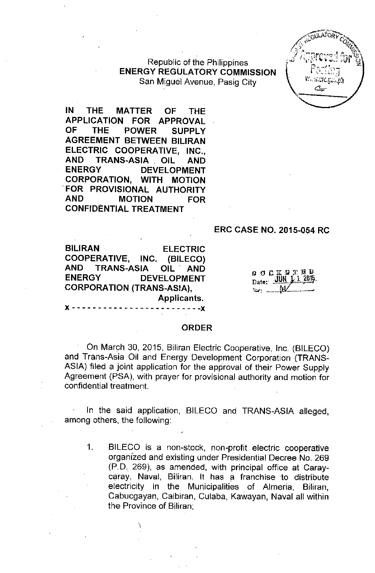### Republic of the Philippines ENERGY REGULATORY COMMISSION San Miguel Avenue, Pasig City



IN THE MATTER OF THE APPLICATION FOR APPROVAL OF THE POWER SUPPLY AGREEMENT BETWEEN BILIRAN ELECTRIC COOPERATIVE, INC., AND TRANS-ASIA, OIL AND ENERGY DEVELOPMENT CORPORATION, WITH MOTION .FOR PROVISIONAL AUTHORITY AND MOTION FOR CONFIDENTIAL TREATMENT

#### ERC CASE NO. 2015-054 RC

BILIRAN ELECTRIC COOPERATIVE, INC. (BILECO) AND TRANS-ASIA OIL' AND ENERGY DEVELOPMENT CORPORATION (TRANS-ASIA), Applicants.

| Ω.  |       | <b>OCKETED</b> |  |  |                     |
|-----|-------|----------------|--|--|---------------------|
|     | Date: |                |  |  | <u>JUN 1 1 2015</u> |
| Ev. |       |                |  |  |                     |

#### **ORDER**

 $- - - - -$ 

On March 30, 2015, Biliran Electric Cooperative, Inc. (BILECO) and Trans-Asia Oil and Energy Development Corporation (TRANS-ASIA) filed a joint application for the approval of their Power Supply Agreement (PSA), with prayer for provisional authority and motion for confidential treatment

In the said application, BILECO and TRANS-ASIA alleged, among others, the following:

1, BILECO is a non-stock, non-profit electric cooperative organized and existing under Presidential Decree No, 269 (pD, 269), as amended, with principal office at Caraycaray, Naval, Biliran, It has a franchise to distribute electricity in the Municipalities of Almeria, Biliran, Cabucgayan, Caibiran, Culaba, Kawayan, Naval all within the Province of Biliran;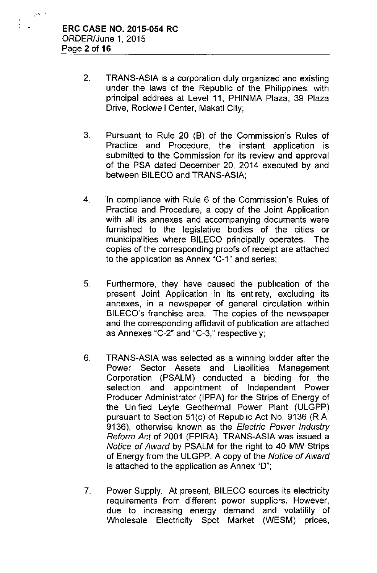$\mathcal{S}^{(n-1)}$ 

- 2. TRANS-ASIA is a corporation duly organized and existing under the laws of the Republic of the Philippines, with principal address at Level **11,** PHINMA Plaza, 39 Plaza Drive, Rockwell Center, Makati City;
- 3. Pursuant to Rule 20 (B) of the Commission's Rules of Practice and Procedure, the instant application is submitted to the Commission for its review and approval of the PSA dated December 20, 2014 executed by and between BILECO and TRANS-ASIA;
- 4. In compliance with Rule 6 of the Commission's Rules of Practice and Procedure, a copy of the Joint Application with all its annexes and accompanying documents were furnished to the legislative bodies of the cities or municipalities where BILECO principally operates. The copies of the corresponding proofs of receipt are attached to the application as Annex "C-1" and series;
- 5. Furthermore, they have caused the publication of the present Joint Application in its entirety, excluding its annexes, in a newspaper of general circulation within BILECO's franchise area. The copies of the newspaper and the corresponding affidavit of publication are attached as Annexes "C-2" and "C-3," respectively;
- 6. TRANS-ASIA was selected as a winning bidder after the Power Sector Assets and Liabilities Management Corporation (PSALM) conducted a bidding for the selection and appointment of Independent Power Producer Administrator (IPPA) for the Strips of Energy of the Unified Leyte Geothermal Power Plant (ULGPP) pursuant to Section 51(c) of Republic Act No. 9136 (R.A. 9136), otherwise known as the *Electric Power Industry Reform Act* of 2001 (EPIRA). TRANS-ASIA was issued a *Notice* of *Award* by PSALM for the right to 40 MW Strips of Energy from the ULGPP. A copy of the *Notice* of *Award* is attached to the application as Annex "D";
- 7. Power Supply. At present, BILECO sources its electricity requirements from different power suppliers. However, due to increasing energy demand and volatility of Wholesale Electricity Spot Market (WESM) prices,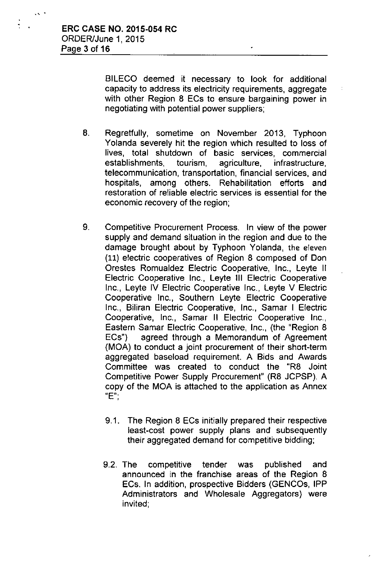BILECO deemed it necessary to look for additional capacity to address its electricity requirements, aggregate with other Region 8 ECs to ensure bargaining power in negotiating with potential power suppliers;

- 8. Regretfully, sometime on November 2013, Typhoon Yolanda severely hit the region which resulted to loss of lives, total shutdown of basic services, commercial establishments, tourism, agriculture, infrastructure, telecommunication, transportation, financial services, and hospitals, among others. Rehabilitation efforts and restoration of reliable electric services is essential for the economic recovery of the region;
- 9. Competitive Procurement Process. In view of the power supply and demand situation in the region and due to the damage brought about by Typhoon Yolanda, the eleven (11) electric cooperatives of Region 8 composed of Don Orestes Romualdez Electric Cooperative, Inc., Leyte II Electric Cooperative Inc., Leyte III Electric Cooperative Inc., Leyte IV Electric Cooperative Inc., Leyte V Electric Cooperative Inc., Southern Leyte Electric Cooperative Inc., Biliran Electric Cooperative, Inc., Samar I Electric Cooperative, Inc., Samar **II** Electric Cooperative Inc., Eastern Samar Electric Cooperative, Inc., (the "Region 8 ECs") agreed through a Memorandum of Agreement (MOA) to conduct a joint procurement of their short-term aggregated baseload requirement. A Bids and Awards Committee was created to conduct the "R8 Joint Competitive Power Supply Procurement" (R8 JCPSP). A copy of the MOA is attached to the application as Annex "E";
	- 9.1. The Region 8 ECs initially prepared their respective least-cost power supply plans and subsequently their aggregated demand for competitive bidding;
	- 9.2. The competitive tender was published and announced in the franchise areas of the Region 8 ECs. In addition, prospective Bidders (GENCOs, **IPP** Administrators and Wholesale Aggregators) were invited;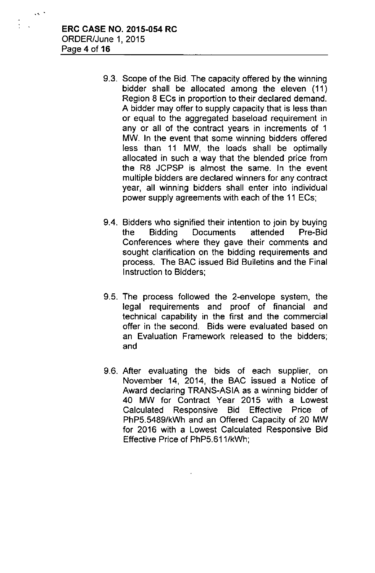$\lambda$ ,  $\lambda$ 

- 9,3, Scope of the Bid. The capacity offered by the winning bidder shall be allocated among the eleven (11) Region 8 ECs in proportion to their declared demand. A bidder may offer to supply capacity that is less than or equal to the aggregated baseload requirement in any or all of the contract years in increments of 1 MW. **In** the event that some winning bidders offered less than 11 MW, the loads shall be optimally allocated in such a way that the blended price from the R8 JCPSP is almost the same. In the event multiple bidders are declared winners for any contract year, all winning bidders shall enter into individual power supply agreements with each of the 11 ECs;
- 9.4. Bidders who signified their intention to join by buying the Bidding Documents attended Pre-Bid Conferences where they gave their comments and sought clarification on the bidding requirements and process. The BAC issued Bid Bulletins and the Final Instruction to Bidders;
- 9.5. The process followed the 2-envelope system, the legal requirements and proof of financial and technical capability in the first and the commercial offer in the second. Bids were evaluated based on an Evaluation Framework released to the bidders; and
- 9.6. After evaluating the bids of each supplier, on November 14, 2014, the BAC issued a Notice of Award declaring TRANS-ASIA as a winning bidder of 40 MW for Contract Year 2015 with a Lowest Calculated Responsive Bid Effective Price of PhP5.5489/kWh and an Offered Capacity of 20 MW for 2016 with a Lowest Calculated Responsive Bid Effective Price of PhP5.611/kWh;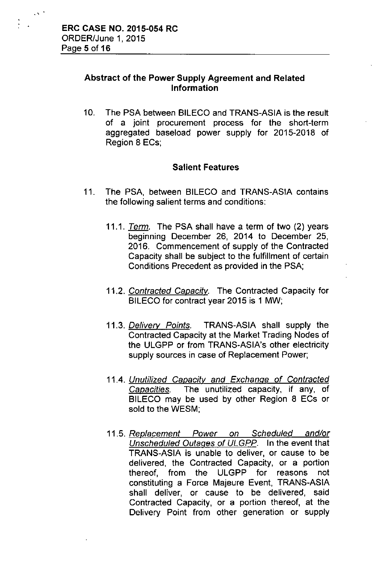## Abstract of the Power Supply Agreement and Related Information

10. The PSA between BILECO and TRANS-ASIA is the result of a joint procurement process for the short-term aggregated baseload power supply for 2015-2018 of Region 8 ECs;

### Salient Features

- 11. The PSA, between BILECO and TRANS-ASIA contains the following salient terms and conditions:
	- *11.1. Tenn.* The PSA shall have a term of two (2) years beginning December 26, 2014 to December 25, 2016. Commencement of supply of the Contracted Capacity shall be subject to the fulfillment of certain Conditions Precedent as provided in the PSA;
	- *11.2. Contracted Capacity.* The Contracted Capacity for BILECO for contract year 2015 is 1 MW;
	- *11.3. Delivery Points.* TRANS-ASIA shall supply the Contracted Capacity at the Market Trading Nodes of the ULGPP or from TRANS-ASIA's other electricity supply sources in case of Replacement Power;
	- *11.4. Unutilized Capacity and Exchange* of *Contracted Capacities.* The unutilized capacity, if any, of BILECO may be used by other Region 8 ECs or sold to the WESM;
	- *11.5. Replacement Power on Scheduled and/or Unscheduled Outages* of *ULGPP.* In the event that TRANS-ASIA is unable to deliver, or cause to be delivered, the Contracted Capacity, or a portion thereof, from the ULGPP for reasons not constituting a Force Majeure Event, TRANS-ASIA shall deliver, or cause to be delivered, said Contracted Capacity, or a portion thereof, at the Delivery Point from other generation or supply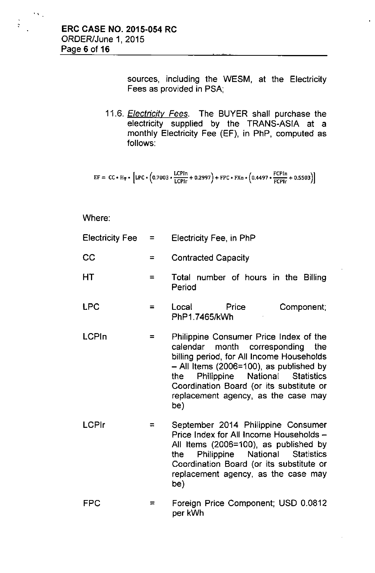$\mathbf{v}_{\infty}$ 

 $\frac{1}{2}$ 

sources, including the WESM, at the Electricity Fees as provided in PSA;

*11.6. Electricity Fees.* The BUYER shall purchase the electricity supplied by the TRANS-ASIA at a monthly Electricity Fee (EF), in PhP, computed as follows:

$$
EF = CC * H_T * [LPC * (0.7003 * \frac{LCPin}{LCPIr} + 0.2997) + FPC * FXn * (0.4497 * \frac{FCPIn}{FCPIr} + 0.5503)]
$$

Where:

| <b>Electricity Fee</b> | $\equiv$ | Electricity Fee, in PhP                                                                                                                                                                                                                                                                               |  |  |
|------------------------|----------|-------------------------------------------------------------------------------------------------------------------------------------------------------------------------------------------------------------------------------------------------------------------------------------------------------|--|--|
| CC                     | ≃        | <b>Contracted Capacity</b>                                                                                                                                                                                                                                                                            |  |  |
| HT                     | $=$      | Total number of hours in the Billing<br>Period                                                                                                                                                                                                                                                        |  |  |
| <b>LPC</b>             | $=$      | Local<br>Price<br>Component;<br>PhP1.7465/kWh                                                                                                                                                                                                                                                         |  |  |
| <b>LCPIn</b>           | =        | Philippine Consumer Price Index of the<br>calendar month corresponding the<br>billing period, for All Income Households<br>- All Items (2006=100), as published by<br>Philippine National Statistics<br>the<br>Coordination Board (or its substitute or<br>replacement agency, as the case may<br>be) |  |  |
| <b>LCPIr</b>           | =        | September 2014 Philippine Consumer<br>Price Index for All Income Households -<br>All Items (2006=100), as published by<br>Philippine National<br><b>Statistics</b><br>the<br>Coordination Board (or its substitute or<br>replacement agency, as the case may                                          |  |  |

FPC  $=$ Foreign Price Component; USD 0.0812 per kWh

be)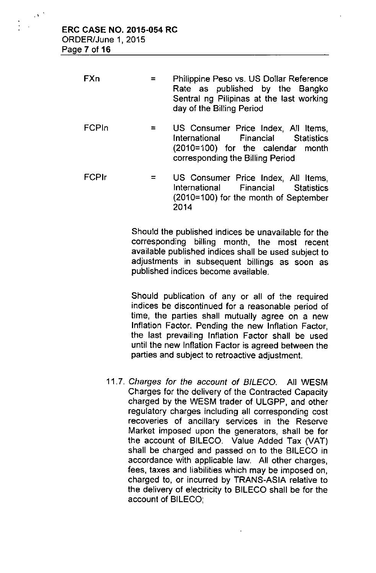$\mathcal{O}(\mathcal{E})$ 

| <b>FXn</b> | $=$ $\blacksquare$ | Philippine Peso vs. US Dollar Reference                               |  |  |  |
|------------|--------------------|-----------------------------------------------------------------------|--|--|--|
|            |                    | Rate as published by the Bangko                                       |  |  |  |
|            |                    | Sentral ng Pilipinas at the last working<br>day of the Billing Period |  |  |  |

- FCPln  $=$ US Consumer Price Index, All Items, International Financial Statistics (2010=100) for the calendar month corresponding the Billing Period
- FCPlr = US Consumer Price Index, All Items, International Financial Statistics (2010=100) for the month of September 2014

Should the published indices be unavailable for the corresponding billing month, the most recent available published indices shall be used subject to adjustments in subsequent billings as soon as published indices become available.

Should publication of any or all of the required indices be discontinued for a reasonable period of time, the parties shall mutually agree on a new Inflation Factor. Pending the new Inflation Factor, the last prevailing Inflation Factor shall be used until the new Inflation Factor is agreed between the parties and subject to retroactive adjustment.

*11.7. Charges for the account of B/LECO.* All WESM Charges for the delivery of the Contracted Capacity charged by the WESM trader of ULGPP, and other regulatory charges including all corresponding cost recoveries of ancillary services in the Reserve Market imposed upon the generators, shall be for the account of BILECO. *Value* Added Tax *(VAT)* shall be charged and passed on to the BILECO in accordance with applicable law. All other charges, fees, taxes and liabilities which may be imposed on, charged to, or incurred by TRANS-ASIA relative to the delivery of electricity to BILECO shall be for the account of BILECO;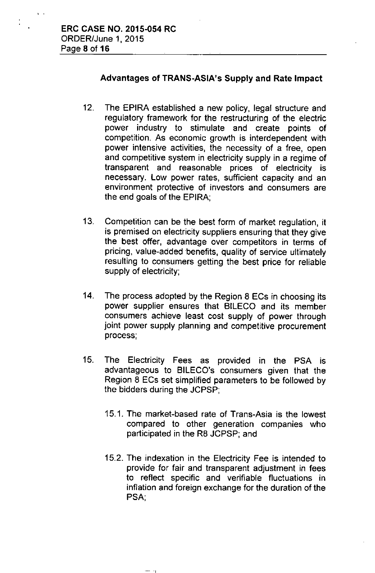, .

### Advantages of TRANS-ASiA's Supply and Rate Impact

- 12. The EPiRA established a new policy, legal structure and regulatory framework for the restructuring of the electric power industry to stimulate and create points of competition. As economic growth is interdependent with power intensive activities, the necessity of a free, open and competitive system in electricity supply in a regime of transparent and reasonable prices of electricity is necessary. Low power rates, sufficient capacity and an environment protective of investors and consumers are the end goals of the EPIRA;
- 13. Competition can be the best form of market regulation, it is premised on electricity suppliers ensuring that they give the best offer, advantage over competitors in terms of pricing, value-added 'benefits, quality of service ultimately resulting to consumers getting the best price for reliable supply of electricity;
- 14. The process adopted by the Region 8 ECs in choosing its power supplier ensures that BILECO and its member consumers achieve least cost supply of power through joint power supply planning and competitive procurement process;
- 15. The Electricity Fees as provided in the PSA is advantageous to BILECO's consumers given that the Region 8 ECs set simplified parameters to be followed by the bidders during the JCPSP;
	- 15.1. The market-based rate of Trans-Asia is the lowest compared to other generation companies who participated in the R8 JCPSP; and
	- 15.2. The indexation in the Electricity Fee is intended to provide for fair and transparent adjustment in fees to reflect specific and verifiable fluctuations in inflation and foreign exchange for the duration of the PSA;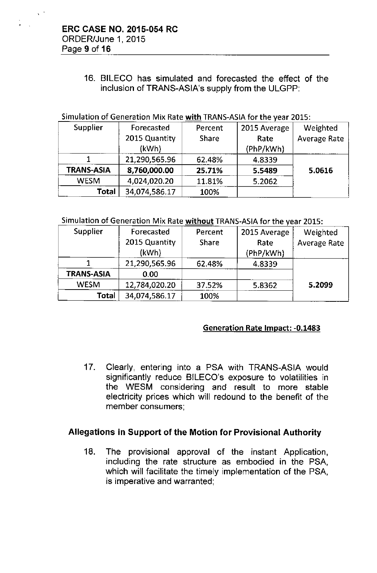16. BILECO has simulated and forecasted the effect of the inclusion of TRANS-ASIA's supply from the ULGPP:

#### Simulation of Generation Mix Rate with TRANS-ASIA for the year 2015:

| Supplier          | Forecasted    | Percent      | 2015 Average | Weighted            |
|-------------------|---------------|--------------|--------------|---------------------|
|                   | 2015 Quantity | <b>Share</b> | Rate         | <b>Average Rate</b> |
|                   | (kWh)         |              | (PhP/kWh)    |                     |
|                   | 21,290,565.96 | 62.48%       | 4.8339       |                     |
| <b>TRANS-ASIA</b> | 8,760,000.00  | 25.71%       | 5.5489       | 5.0616              |
| <b>WESM</b>       | 4,024,020.20  | 11.81%       | 5.2062       |                     |
| Total             | 34,074,586.17 | 100%         |              |                     |

#### Simulation of Generation Mix Rate without TRANS-ASIA for the year 2015:

| <b>Supplier</b>   | Forecasted    | Percent      | 2015 Average | Weighted            |
|-------------------|---------------|--------------|--------------|---------------------|
|                   | 2015 Quantity | <b>Share</b> | Rate         | <b>Average Rate</b> |
|                   | (kWh)         |              | (PhP/kWh)    |                     |
|                   | 21,290,565.96 | 62.48%       | 4.8339       |                     |
| <b>TRANS-ASIA</b> | 0.00          |              |              |                     |
| <b>WESM</b>       | 12,784,020.20 | 37.52%       | 5.8362       | 5.2099              |
| Total             | 34,074,586.17 | 100%         |              |                     |

### Generation Rate Impact: -0.1483

17. Clearly, entering into a PSA with TRANS-ASIA would significantly reduce BILECO's exposure to volatilities in the WESM considering and result to more stable electricity prices which will redound to the benefit of the member consumers;

# Allegations in Support of the Motion for Provisional Authority

18. The provisional approval of the instant Application, including the rate structure as embodied in the PSA, which will facilitate the timely implementation of the PSA, is imperative and warranted;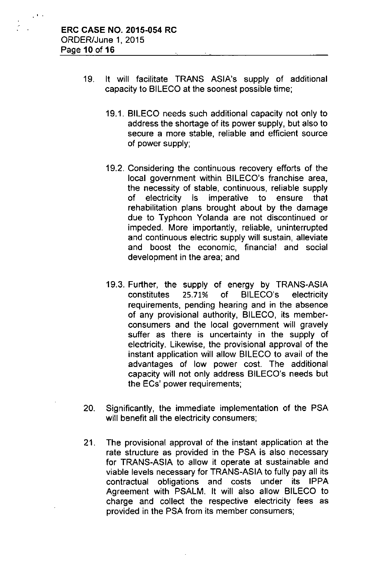, .

- 19. It will facilitate TRANS ASIA's supply of additional capacity to BILECO at the soonest possible time;
	- 19.1. BILECO needs such additional capacity not only to address the shortage of its power supply, but also to secure a more stable, reliable and efficient source of power supply;
	- 19.2. Considering the continuous recovery efforts of the local government within BILECO's franchise area, the necessity of stable, continuous, reliable supply of electricity is imperative to ensure that rehabilitation plans brought about by the damage due to Typhoon Yolanda are not discontinued or impeded. More importantly, reliable, uninterrupted and continuous electric supply will sustain, alleviate and boost the economic, financial and social development in the area; and
	- 19.3. Further, the supply of energy by TRANS-ASIA constitutes 25.71% of BILECO's electricity requirements, pending hearing and in the absence of any provisional authority, BILECO, its memberconsumers and the local government will gravely suffer as there is uncertainty in the supply of electricity. Likewise, the provisional approval of the instant application will allow BILECO to avail of the advantages of low power cost. The additional capacity will not only address BILECO's needs but the ECs' power requirements;
- 20. Significantly, the immediate implementation of the PSA will benefit all the electricity consumers;
- 21. The provisional approval of the instant application at the rate structure as provided in the PSA is also necessary for TRANS-ASIA to allow it operate at sustainable and viable levels necessary for TRANS-ASIA to fully pay all its contractual obligations and costs under its IPPA Agreement with PSALM. It will also allow BILECO to charge and collect the respective electricity fees as provided in the PSA from its member consumers;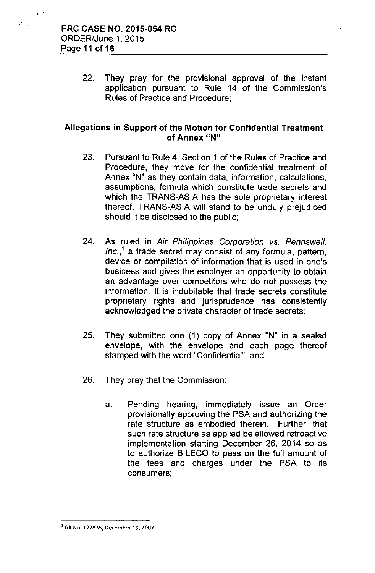22. They pray for the provisional approval of the instant application pursuant to Rule 14 of the Commission's Rules of Practice and Procedure;

## Allegations in Support of the Motion for Confidential Treatment of Annex "N"

- 23. Pursuant to Rule 4, Section 1 of the Rules of Practice and Procedure, they move for the confidential treatment of Annex "N" as they contain data, information, calculations, assumptions, formula which constitute trade secrets and which the TRANS-ASIA has the sole proprietary interest thereof. TRANS-ASIA will stand to be unduly prejudiced should it be disclosed to the public;
- 24. As ruled in *Air Philippines Corporation vs. Pennswell, Inc.,1* a trade secret may consist of any formula, pattern, device or compilation of information that is used in one's business and gives the employer an opportunity to obtain an advantage over competitors who do not possess the information. It is indubitable that trade secrets constitute proprietary rights and jurisprudence has consistently acknowledged the private character of trade secrets;
- 25. They submitted one (1) copy of Annex "N" in a sealed envelope, with the envelope and each page thereof stamped with the word "Confidential"; and
- 26. They pray that the Commission:
	- a. Pending hearing, immediately issue an Order provisionally approving the PSA and authorizing the rate structure as embodied therein. Further, that such rate structure as applied be allowed retroactive implementation starting December 26, 2014 so as to authorize BILECO to pass on the full amount of the fees and charges under the PSA to its consumers;

<sup>1</sup>**GR**No. **172835, December 19.** 2007.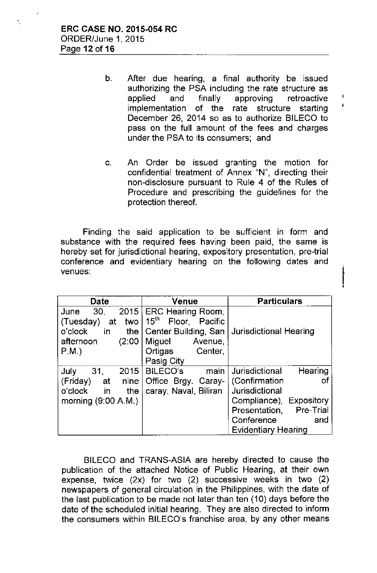- b. After due hearing, a final authority be issued authorizing the PSA including the rate structure as applied and finally approving retroactive implementation of the rate structure starting December 26, 2014 so as to authorize BILECO to pass on the full amount of the fees and charges under the PSA to its consumers; and
- c. An Order be issued granting the motion for confidential treatment of Annex "N", directing their non-disclosure pursuant to Rule 4 of the Rules of Procedure and prescribing the guidelines for the protection thereof.

|<br>!

Finding the said application to be sufficient in form and substance with the required fees having been paid, the same is hereby set for jurisdictional hearing, expository presentation, pre-trial conference and evidentiary hearing on the following dates and venues:

| Date                         | Venue                                 | <b>Particulars</b>                |  |
|------------------------------|---------------------------------------|-----------------------------------|--|
| 30,<br>2015<br>June          | <b>ERC Hearing Room.</b>              |                                   |  |
| (Tuesday)<br>two<br>at       | $15^{\text{th}}$<br>Floor,<br>Pacific |                                   |  |
| o'clock<br>in<br>the $\vert$ | Center Building, San                  | Jurisdictional Hearing            |  |
| (2:00)<br>afternoon          | Miguel<br>Avenue,                     |                                   |  |
| P.M.                         | Ortigas<br>Center,                    |                                   |  |
|                              | Pasig City                            |                                   |  |
| 31.<br>July<br>2015          | <b>BILECO's</b><br>main               | Hearing<br>Jurisdictional         |  |
| (Friday)<br>at<br>nine       | Office Brgy. Caray-                   | (Confirmation<br>Οf               |  |
| in<br>o'clock<br>the         | caray, Naval, Biliran                 | Jurisdictional                    |  |
| morning $(9:00 A.M.)$        |                                       | <b>Expository</b><br>Compliance), |  |
|                              |                                       | Presentation, Pre-Trial           |  |
|                              |                                       | Conference<br>and                 |  |
|                              |                                       | <b>Evidentiary Hearing</b>        |  |

BILECO and TRANS-ASIA are hereby directed to cause the publication of the attached Notice of Public Hearing, at their own expense, twice (2x) for *two* (2) successive weeks in two (2) newspapers of general circulation in the Philippines, with the date of the last publication to be made not later than ten (10) days before the date of the scheduled initial hearing. They are also directed to inform the consumers within BILECO's franchise area, by any other means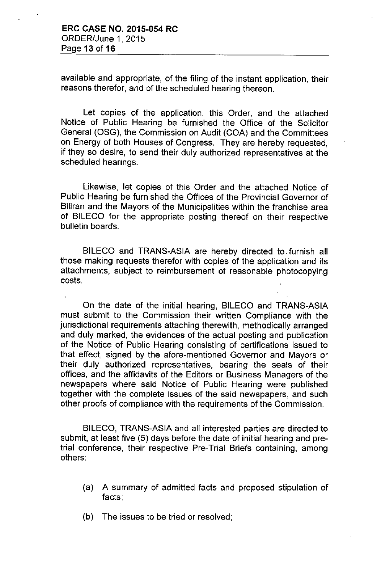available and appropriate, of the filing of the instant application, their reasons therefor, and of the scheduled hearing thereon.

Let copies of the application, this Order, and the attached Notice of Public Hearing be furnished the Office of the Solicitor General (OSG), the Commission on Audit (COA) and the Committees on Energy of both Houses of Congress. They are hereby requested, if they so desire, to send their duly authorized representatives at the scheduled hearings.

Likewise, let copies of this Order and the attached Notice of Public Hearing be furnished the Offices of the Provincial Governor of Biliran and the Mayors of the Municipalities within the franchise area of BILECO for the appropriate posting thereof on their respective bulletin boards.

BILECO and TRANS-ASIA are hereby directed to. furnish all those making requests therefor with copies of the application and its attachments, subject to reimbursement of reasonable photocopying costs.

On the date of the initial hearing, BILECO and TRANS-ASIA must submit to the Commission their written Compliance with the jurisdictional requirements attaching therewith, methodically arranged and duly marked, the evidences of the actual posting and publication of the Notice of Public Hearing consisting of certifications issued to that effect, signed by the afore-mentioned Governor and Mayors or their duly authorized representatives, bearing the seals of their offices, and the affidavits of the Editors or Business Managers of the newspapers where said Notice of Public Hearing were published together with the complete issues of the said newspapers, and such other proofs of compliance with the requirements of the Commission.

BILECO, TRANS-ASIA and all interested parties are directed to submit, at least five (5) days before the date of initial hearing and pretrial conference, their respective Pre-Trial Briefs containing, among others:

- (a) A summary of admitted facts and proposed stipulation of facts;
- (b) The issues to be tried or resolved;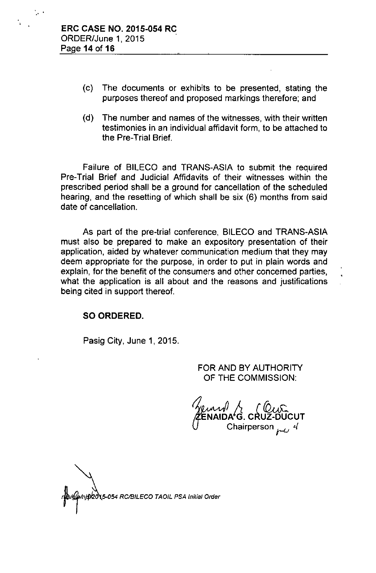..

- (c) The documents or exhibits to be presented, stating the purposes thereof and proposed markings therefore; and
- (d) The number and names of the witnesses, with their written testimonies in an individual affidavit form, to be attached to the Pre-Trial Brief.

Failure of BILECO and TRANS-ASIA to submit the required Pre-Trial Brief and Judicial Affidavits of their witnesses within the prescribed period shall be a ground for cancellation of the scheduled hearing, and the resetting of which shall be six (6) months from said date of cancellation.

As part of the pre-trial conference, BILECO and TRANS-ASIA must also be prepared to make an expository presentation of their application, aided by whatever communication medium that they may deem appropriate for the purpose, in order to put in plain words and explain, for the benefit of the consumers and other concerned parties, what the application is all about and the reasons and justifications being cited in support thereof.

### SO ORDERED.

Pasig City, June 1, 2015.

FOR AND BY AUTHORITY OF THE COMMISSION:

CWC<br>CRUZ-DUCUT Chairperson  $mu^{4}$ 

15-054 RC/BILECO TAOIL PSA Initial Order<br>-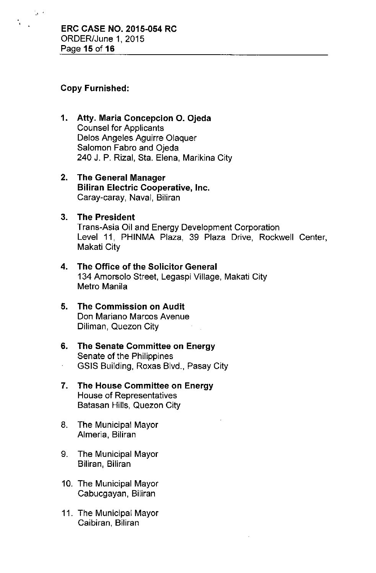# Copy Furnished:

 $\frac{1}{2}$ .

- 1. Atty. Maria Concepcion O. Ojeda Counsel for Applicants Delos Angeles Aguirre Olaquer Salomon Fabro and Ojeda 240 J. P. Rizal, Sta. Elena, Marikina City
- 2. The General Manager Biliran Electric Cooperative, Inc. Caray-caray, Naval, Biliran

## 3. The President

Trans-Asia Oil and Energy Development Corporation Level 11, PHINMA Plaza, 39 Plaza Drive, Rockwell Center, Makati City

- 4. The Office of the Solicitor General 134 Amorsolo Street, Legaspi Viliage, Makati City Metro Manila
- 5. The Commission on Audit Don Mariano Marcos Avenue Diliman, Quezon City

### 6. The Senate Committee on Energy Senate of the Philippines GSIS Building, Roxas Blvd., Pasay City

- 7. The House Committee on Energy House of Representatives Batasan Hills, Quezon City
- 8. The Municipal Mayor Almeria, Biliran
- 9. The Municipal Mayor Biliran, Biliran
- 10. The Municipal Mayor Cabucgayan, Biliran
- 11. The Municipal Mayor Caibiran, Biliran